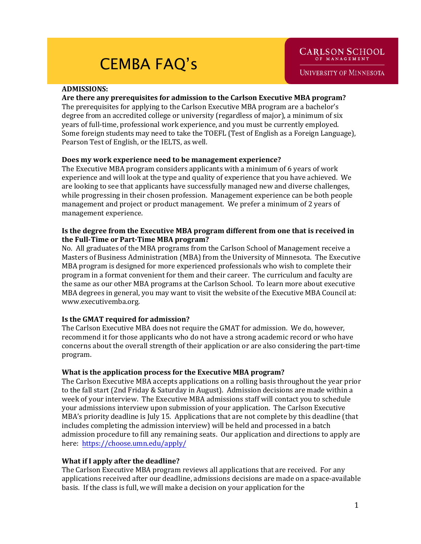## **ADMISSIONS:**

## **Are there any prerequisites for admission to the Carlson Executive MBA program?**

The prerequisites for applying to the Carlson Executive MBA program are a bachelor's degree from an accredited college or university (regardless of major), a minimum of six years of full-time, professional work experience, and you must be currently employed. Some foreign students may need to take the TOEFL (Test of English as a Foreign Language), Pearson Test of English, or the IELTS, as well.

## **Does my work experience need to be management experience?**

The Executive MBA program considers applicants with a minimum of 6 years of work experience and will look at the type and quality of experience that you have achieved. We are looking to see that applicants have successfully managed new and diverse challenges, while progressing in their chosen profession. Management experience can be both people management and project or product management. We prefer a minimum of 2 years of management experience.

## **Is the degree from the Executive MBA program different from one that is received in the Full-Time or Part-Time MBA program?**

No. All graduates of the MBA programs from the Carlson School of Management receive a Masters of Business Administration (MBA) from the University of Minnesota. The Executive MBA program is designed for more experienced professionals who wish to complete their program in a format convenient for them and their career. The curriculum and faculty are the same as our other MBA programs at the Carlson School. To learn more about executive MBA degrees in general, you may want to visit the website of the Executive MBA Council at: www.executivemba.org.

## **Is the GMAT required for admission?**

The Carlson Executive MBA does not require the GMAT for admission. We do, however, recommend it for those applicants who do not have a strong academic record or who have concerns about the overall strength of their application or are also considering the part-time program.

## **What is the application process for the Executive MBA program?**

The Carlson Executive MBA accepts applications on a rolling basis throughout the year prior to the fall start (2nd Friday & Saturday in August). Admission decisions are made within a week of your interview. The Executive MBA admissions staff will contact you to schedule your admissions interview upon submission of your application. The Carlson Executive MBA's priority deadline is July 15. Applications that are not complete by this deadline (that includes completing the admission interview) will be held and processed in a batch admission procedure to fill any remaining seats. Our application and directions to apply are here: https://choose.umn.edu/apply/

# **What if I apply after the deadline?**

The Carlson Executive MBA program reviews all applications that are received. For any applications received after our deadline, admissions decisions are made on a space-available basis. If the class is full, we will make a decision on your application for the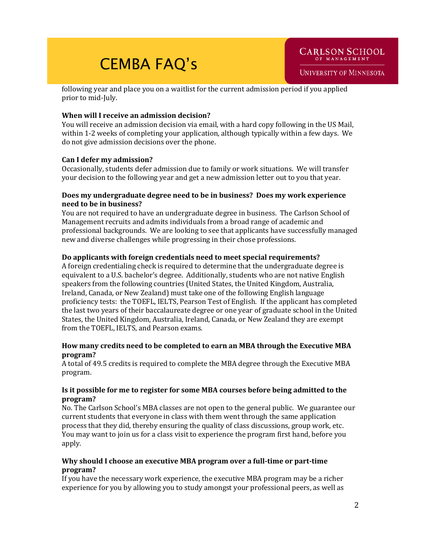following year and place you on a waitlist for the current admission period if you applied prior to mid-July.

# **When will I receive an admission decision?**

You will receive an admission decision via email, with a hard copy following in the US Mail, within 1-2 weeks of completing your application, although typically within a few days. We do not give admission decisions over the phone.

# **Can I defer my admission?**

Occasionally, students defer admission due to family or work situations. We will transfer your decision to the following year and get a new admission letter out to you that year.

## **Does my undergraduate degree need to be in business? Does my work experience need to be in business?**

You are not required to have an undergraduate degree in business. The Carlson School of Management recruits and admits individuals from a broad range of academic and professional backgrounds. We are looking to see that applicants have successfully managed new and diverse challenges while progressing in their chose professions.

# **Do applicants with foreign credentials need to meet special requirements?**

A foreign credentialing check is required to determine that the undergraduate degree is equivalent to a U.S. bachelor's degree. Additionally, students who are not native English speakers from the following countries (United States, the United Kingdom, Australia, Ireland, Canada, or New Zealand) must take one of the following English language proficiency tests: the TOEFL, IELTS, Pearson Test of English. If the applicant has completed the last two years of their baccalaureate degree or one year of graduate school in the United States, the United Kingdom, Australia, Ireland, Canada, or New Zealand they are exempt from the TOEFL, IELTS, and Pearson exams.

# **How many credits need to be completed to earn an MBA through the Executive MBA program?**

A total of 49.5 credits is required to complete the MBA degree through the Executive MBA program.

# **Is it possible for me to register for some MBA courses before being admitted to the program?**

No. The Carlson School's MBA classes are not open to the general public. We guarantee our current students that everyone in class with them went through the same application process that they did, thereby ensuring the quality of class discussions, group work, etc. You may want to join us for a class visit to experience the program first hand, before you apply.

# **Why should I choose an executive MBA program over a full-time or part-time program?**

If you have the necessary work experience, the executive MBA program may be a richer experience for you by allowing you to study amongst your professional peers, as well as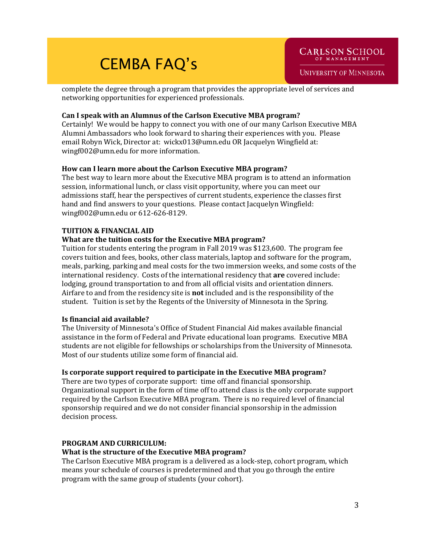complete the degree through a program that provides the appropriate level of services and networking opportunities for experienced professionals.

# **Can I speak with an Alumnus of the Carlson Executive MBA program?**

Certainly! We would be happy to connect you with one of our many Carlson Executive MBA Alumni Ambassadors who look forward to sharing their experiences with you. Please email Robyn Wick, Director at: wickx013@umn.edu OR Jacquelyn Wingfield at: wingf002@umn.edu for more information.

# **How can I learn more about the Carlson Executive MBA program?**

The best way to learn more about the Executive MBA program is to attend an information session, informational lunch, or class visit opportunity, where you can meet our admissions staff, hear the perspectives of current students, experience the classes first hand and find answers to your questions. Please contact Jacquelyn Wingfield: wingf002@umn.edu or 612-626-8129.

# **TUITION & FINANCIAL AID**

# **What are the tuition costs for the Executive MBA program?**

Tuition for students entering the program in Fall 2019 was \$123,600. The program fee covers tuition and fees, books, other class materials, laptop and software for the program, meals, parking, parking and meal costs for the two immersion weeks, and some costs of the international residency. Costs of the international residency that **are** covered include: lodging, ground transportation to and from all official visits and orientation dinners. Airfare to and from the residency site is **not** included and is the responsibility of the student. Tuition is set by the Regents of the University of Minnesota in the Spring.

# **Is financial aid available?**

The University of Minnesota's Office of Student Financial Aid makes available financial assistance in the form of Federal and Private educational loan programs. Executive MBA students are not eligible for fellowships or scholarships from the University of Minnesota. Most of our students utilize some form of financial aid.

# **Is corporate support required to participate in the Executive MBA program?**

There are two types of corporate support: time off and financial sponsorship. Organizational support in the form of time off to attend class is the only corporate support required by the Carlson Executive MBA program. There is no required level of financial sponsorship required and we do not consider financial sponsorship in the admission decision process.

# **PROGRAM AND CURRICULUM:**

# **What is the structure of the Executive MBA program?**

The Carlson Executive MBA program is a delivered as a lock-step, cohort program, which means your schedule of courses is predetermined and that you go through the entire program with the same group of students (your cohort).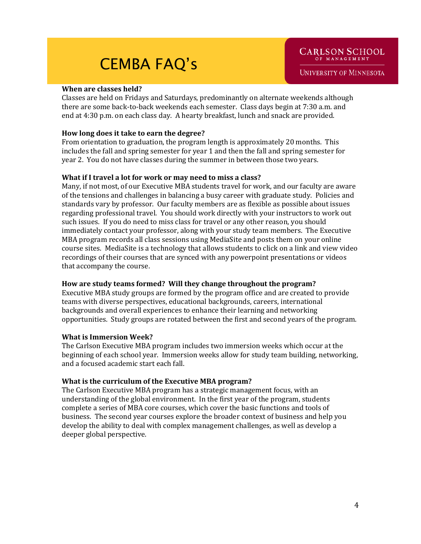#### **When are classes held?**

Classes are held on Fridays and Saturdays, predominantly on alternate weekends although there are some back-to-back weekends each semester. Class days begin at 7:30 a.m. and end at 4:30 p.m. on each class day. A hearty breakfast, lunch and snack are provided.

## **How long does it take to earn the degree?**

From orientation to graduation, the program length is approximately 20 months. This includes the fall and spring semester for year 1 and then the fall and spring semester for year 2. You do not have classes during the summer in between those two years.

#### **What if I travel a lot for work or may need to miss a class?**

Many, if not most, of our Executive MBA students travel for work, and our faculty are aware of the tensions and challenges in balancing a busy career with graduate study. Policies and standards vary by professor. Our faculty members are as flexible as possible about issues regarding professional travel. You should work directly with your instructors to work out such issues. If you do need to miss class for travel or any other reason, you should immediately contact your professor, along with your study team members. The Executive MBA program records all class sessions using MediaSite and posts them on your online course sites. MediaSite is a technology that allows students to click on a link and view video recordings of their courses that are synced with any powerpoint presentations or videos that accompany the course.

## **How are study teams formed? Will they change throughout the program?**

Executive MBA study groups are formed by the program office and are created to provide teams with diverse perspectives, educational backgrounds, careers, international backgrounds and overall experiences to enhance their learning and networking opportunities. Study groups are rotated between the first and second years of the program.

## **What is Immersion Week?**

The Carlson Executive MBA program includes two immersion weeks which occur at the beginning of each school year. Immersion weeks allow for study team building, networking, and a focused academic start each fall.

## **What is the curriculum of the Executive MBA program?**

The Carlson Executive MBA program has a strategic management focus, with an understanding of the global environment. In the first year of the program, students complete a series of MBA core courses, which cover the basic functions and tools of business. The second year courses explore the broader context of business and help you develop the ability to deal with complex management challenges, as well as develop a deeper global perspective.